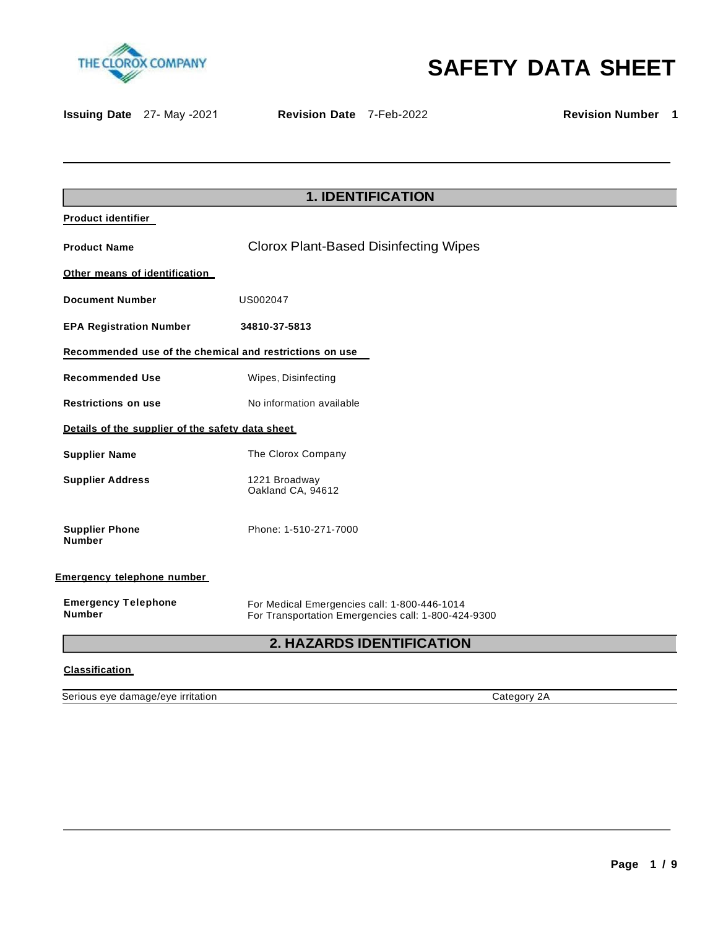



**Issuing Date** 27- May -2021 **Revision Date** 7-Feb-2022 **Revision Number 1**

| <b>Product identifier</b><br><b>Clorox Plant-Based Disinfecting Wipes</b><br><b>Product Name</b><br>Other means of identification<br><b>Document Number</b><br>US002047<br><b>EPA Registration Number</b><br>34810-37-5813<br>Recommended use of the chemical and restrictions on use<br><b>Recommended Use</b><br>Wipes, Disinfecting<br>No information available<br><b>Restrictions on use</b><br>Details of the supplier of the safety data sheet<br><b>Supplier Name</b><br>The Clorox Company<br><b>Supplier Address</b><br>1221 Broadway<br>Oakland CA, 94612 |
|---------------------------------------------------------------------------------------------------------------------------------------------------------------------------------------------------------------------------------------------------------------------------------------------------------------------------------------------------------------------------------------------------------------------------------------------------------------------------------------------------------------------------------------------------------------------|
|                                                                                                                                                                                                                                                                                                                                                                                                                                                                                                                                                                     |
|                                                                                                                                                                                                                                                                                                                                                                                                                                                                                                                                                                     |
|                                                                                                                                                                                                                                                                                                                                                                                                                                                                                                                                                                     |
|                                                                                                                                                                                                                                                                                                                                                                                                                                                                                                                                                                     |
|                                                                                                                                                                                                                                                                                                                                                                                                                                                                                                                                                                     |
|                                                                                                                                                                                                                                                                                                                                                                                                                                                                                                                                                                     |
|                                                                                                                                                                                                                                                                                                                                                                                                                                                                                                                                                                     |
|                                                                                                                                                                                                                                                                                                                                                                                                                                                                                                                                                                     |
|                                                                                                                                                                                                                                                                                                                                                                                                                                                                                                                                                                     |
|                                                                                                                                                                                                                                                                                                                                                                                                                                                                                                                                                                     |
|                                                                                                                                                                                                                                                                                                                                                                                                                                                                                                                                                                     |
| Phone: 1-510-271-7000<br><b>Supplier Phone</b><br><b>Number</b>                                                                                                                                                                                                                                                                                                                                                                                                                                                                                                     |
| Emergency telephone number                                                                                                                                                                                                                                                                                                                                                                                                                                                                                                                                          |
| <b>Emergency Telephone</b><br>For Medical Emergencies call: 1-800-446-1014<br><b>Number</b><br>For Transportation Emergencies call: 1-800-424-9300                                                                                                                                                                                                                                                                                                                                                                                                                  |

# **2. HAZARDS IDENTIFICATION**

# **Classification**

Serious eye damage/eye irritation contract the contract of the Category 2A Category 2A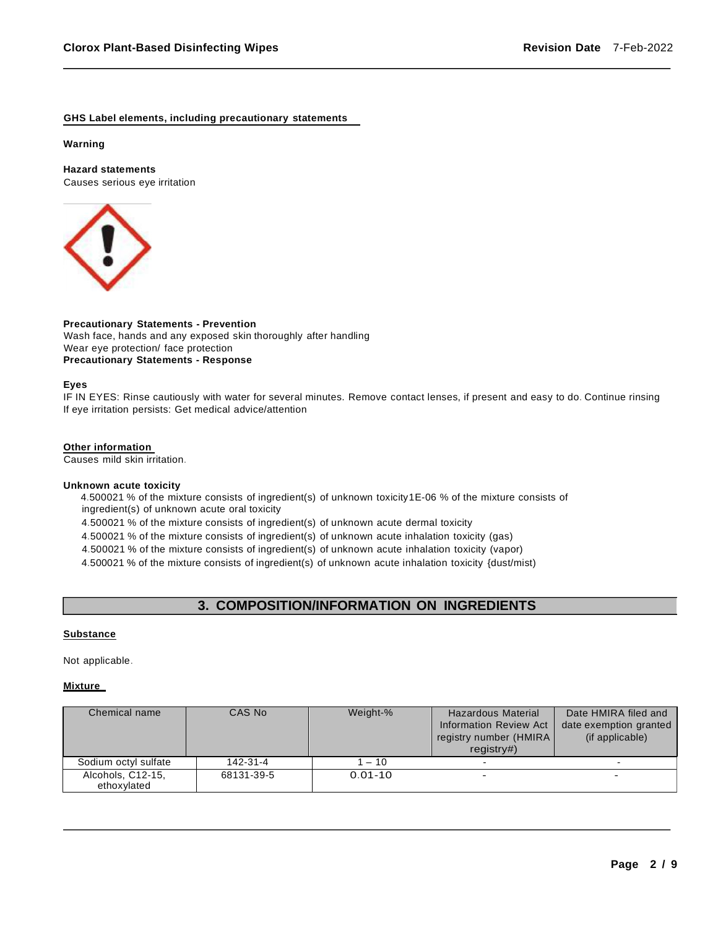## **GHS Label elements, including precautionary statements**

### **Warning**

# **Hazard statements**

Causes serious eye irritation



# **Precautionary Statements - Prevention**

Wash face, hands and any exposed skin thoroughly after handling Wear eye protection/ face protection **Precautionary Statements - Response**

## **Eyes**

IF IN EYES: Rinse cautiously with water for several minutes. Remove contact lenses, if present and easy to do. Continue rinsing If eye irritation persists: Get medical advice/attention

### **Other information**

Causes mild skin irritation.

### **Unknown acute toxicity**

4.500021 % of the mixture consists of ingredient(s) of unknown toxicity1E-06 % of the mixture consists of ingredient(s) of unknown acute oral toxicity

4.500021 % of the mixture consists of ingredient(s) of unknown acute dermal toxicity

4.500021 % of the mixture consists of ingredient(s) of unknown acute inhalation toxicity (gas)

4.500021 % of the mixture consists of ingredient(s) of unknown acute inhalation toxicity (vapor)

4.500021 % of the mixture consists of ingredient(s) of unknown acute inhalation toxicity {dust/mist)

# **3. COMPOSITION/INFORMATION ON INGREDIENTS**

### **Substance**

Not applicable.

### **Mixture**

| Chemical name        | CAS No     | Weight-%    | Hazardous Material            | Date HMIRA filed and   |
|----------------------|------------|-------------|-------------------------------|------------------------|
|                      |            |             | <b>Information Review Act</b> | date exemption granted |
|                      |            |             | registry number (HMIRA)       | (if applicable)        |
|                      |            |             | reqistry#                     |                        |
| Sodium octyl sulfate | 142-31-4   | 1 – 10      |                               |                        |
| Alcohols, C12-15,    | 68131-39-5 | $0.01 - 10$ | $\overline{\phantom{0}}$      |                        |
| ethoxvlated          |            |             |                               |                        |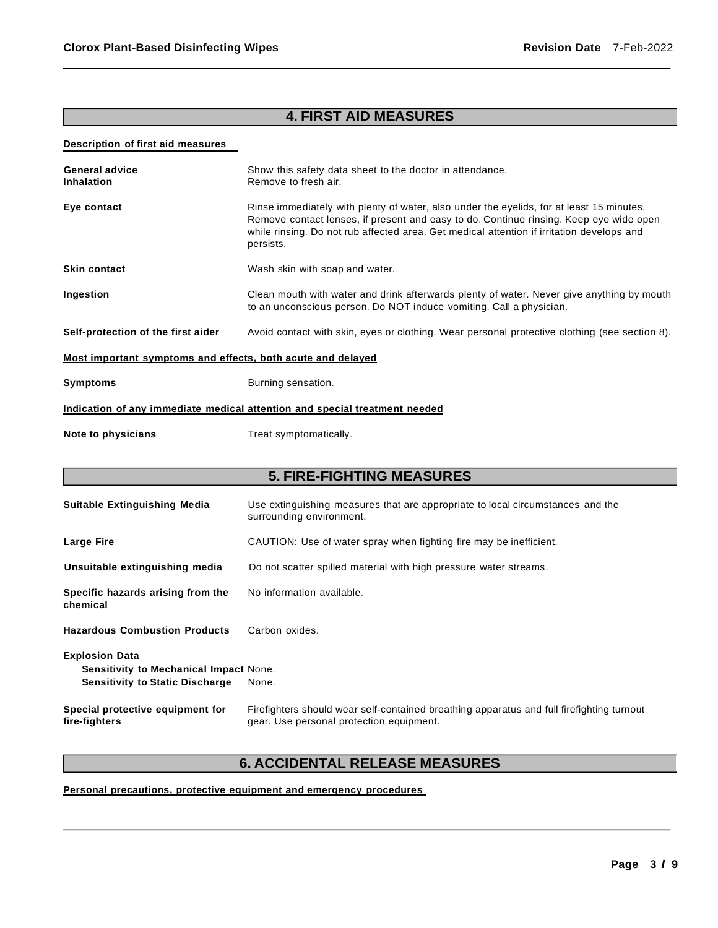# **4. FIRST AID MEASURES**

# **Description of first aid measures**

| <b>General advice</b><br><b>Inhalation</b>                                 | Show this safety data sheet to the doctor in attendance.<br>Remove to fresh air.                                                                                                                                                                                                             |  |
|----------------------------------------------------------------------------|----------------------------------------------------------------------------------------------------------------------------------------------------------------------------------------------------------------------------------------------------------------------------------------------|--|
| Eye contact                                                                | Rinse immediately with plenty of water, also under the eyelids, for at least 15 minutes.<br>Remove contact lenses, if present and easy to do. Continue rinsing. Keep eye wide open<br>while rinsing. Do not rub affected area. Get medical attention if irritation develops and<br>persists. |  |
| <b>Skin contact</b>                                                        | Wash skin with soap and water.                                                                                                                                                                                                                                                               |  |
| Ingestion                                                                  | Clean mouth with water and drink afterwards plenty of water. Never give anything by mouth<br>to an unconscious person. Do NOT induce vomiting. Call a physician.                                                                                                                             |  |
| Self-protection of the first aider                                         | Avoid contact with skin, eyes or clothing. Wear personal protective clothing (see section 8).                                                                                                                                                                                                |  |
| Most important symptoms and effects, both acute and delayed                |                                                                                                                                                                                                                                                                                              |  |
| <b>Symptoms</b>                                                            | Burning sensation.                                                                                                                                                                                                                                                                           |  |
| Indication of any immediate medical attention and special treatment needed |                                                                                                                                                                                                                                                                                              |  |

**Note to physicians** Treat symptomatically.

# **5. FIRE-FIGHTING MEASURES**

| Suitable Extinguishing Media                                                                                     | Use extinguishing measures that are appropriate to local circumstances and the<br>surrounding environment.                            |
|------------------------------------------------------------------------------------------------------------------|---------------------------------------------------------------------------------------------------------------------------------------|
| <b>Large Fire</b>                                                                                                | CAUTION: Use of water spray when fighting fire may be inefficient.                                                                    |
| Unsuitable extinguishing media                                                                                   | Do not scatter spilled material with high pressure water streams.                                                                     |
| Specific hazards arising from the<br>chemical                                                                    | No information available.                                                                                                             |
| <b>Hazardous Combustion Products</b>                                                                             | Carbon oxides.                                                                                                                        |
| <b>Explosion Data</b><br><b>Sensitivity to Mechanical Impact None.</b><br><b>Sensitivity to Static Discharge</b> | None.                                                                                                                                 |
| Special protective equipment for<br>fire-fighters                                                                | Firefighters should wear self-contained breathing apparatus and full firefighting turnout<br>gear. Use personal protection equipment. |

# **6. ACCIDENTAL RELEASE MEASURES**

# **Personal precautions, protective equipment and emergency procedures**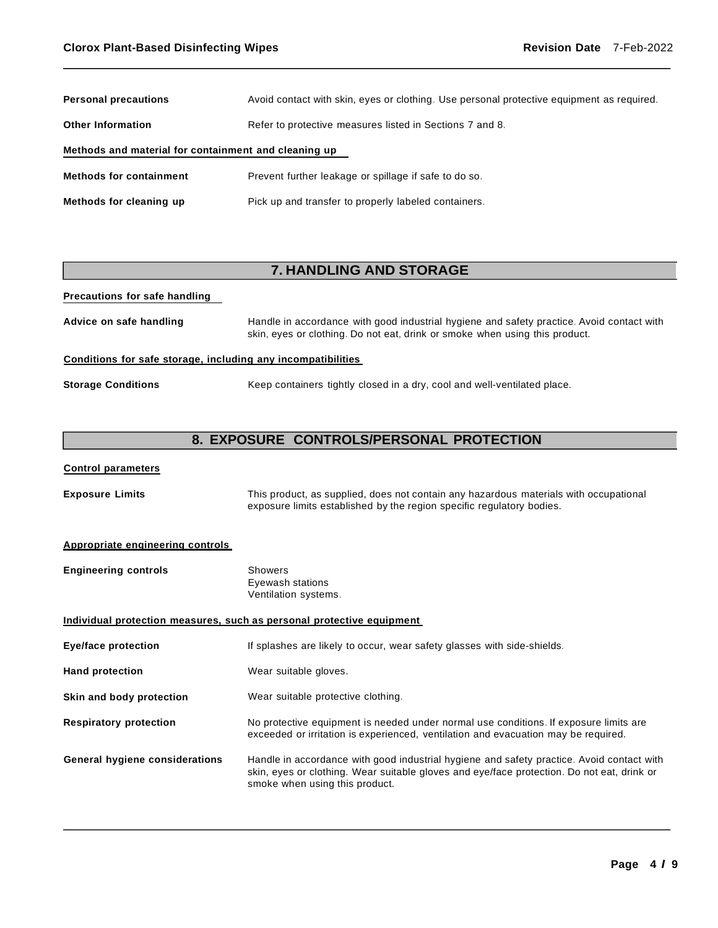| <b>Personal precautions</b>                          | Avoid contact with skin, eyes or clothing. Use personal protective equipment as required. |  |
|------------------------------------------------------|-------------------------------------------------------------------------------------------|--|
| <b>Other Information</b>                             | Refer to protective measures listed in Sections 7 and 8.                                  |  |
| Methods and material for containment and cleaning up |                                                                                           |  |
| <b>Methods for containment</b>                       | Prevent further leakage or spillage if safe to do so.                                     |  |
| Methods for cleaning up                              | Pick up and transfer to properly labeled containers.                                      |  |

# **7. HANDLING AND STORAGE**

# **Precautions for safe handling Advice on safe handling** Handle in accordance with good industrial hygiene and safety practice. Avoid contact with skin, eyes or clothing. Do not eat, drink or smoke when using this product. **Conditions for safe storage, including any incompatibilities Storage Conditions** Keep containers tightly closed in a dry, cool and well-ventilated place.

# **8. EXPOSURE CONTROLS/PERSONAL PROTECTION**

# **Control parameters**

| <b>Exposure Limits</b> | This product, as supplied, does not contain any hazardous materials with occupational |
|------------------------|---------------------------------------------------------------------------------------|
|                        | exposure limits established by the region specific regulatory bodies.                 |

### **Appropriate engineering controls**

| <b>Engineering controls</b> | Showers              |
|-----------------------------|----------------------|
|                             | Eyewash stations     |
|                             | Ventilation systems. |

# **Individual protection measures, such as personal protective equipment**

| Eye/face protection            | If splashes are likely to occur, wear safety glasses with side-shields.                                                                                                                                                   |
|--------------------------------|---------------------------------------------------------------------------------------------------------------------------------------------------------------------------------------------------------------------------|
| <b>Hand protection</b>         | Wear suitable gloves.                                                                                                                                                                                                     |
| Skin and body protection       | Wear suitable protective clothing.                                                                                                                                                                                        |
| <b>Respiratory protection</b>  | No protective equipment is needed under normal use conditions. If exposure limits are<br>exceeded or irritation is experienced, ventilation and evacuation may be required.                                               |
| General hygiene considerations | Handle in accordance with good industrial hygiene and safety practice. Avoid contact with<br>skin, eyes or clothing. Wear suitable gloves and eye/face protection. Do not eat, drink or<br>smoke when using this product. |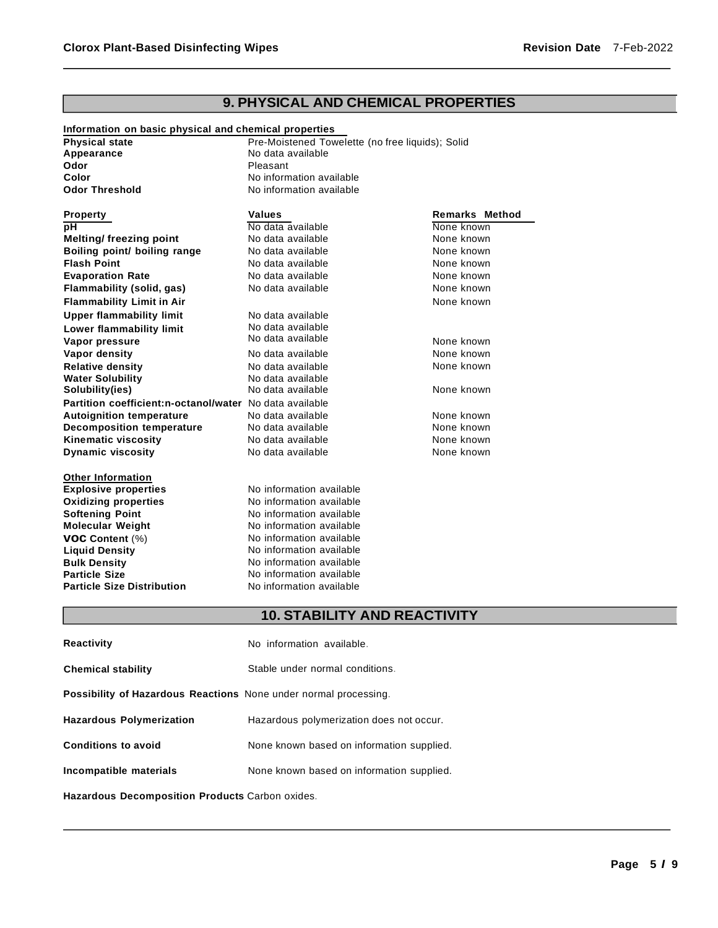# **9. PHYSICAL AND CHEMICAL PROPERTIES**

**None known None known None known** 

None known None known

None known **None known** 

None known None known

**None known None known None known None known** 

| Information on basic physical and chemical properties |                                                  |                       |  |
|-------------------------------------------------------|--------------------------------------------------|-----------------------|--|
| <b>Physical state</b>                                 | Pre-Moistened Towelette (no free liquids); Solid |                       |  |
| Appearance                                            | No data available                                |                       |  |
| Odor                                                  | Pleasant                                         |                       |  |
| Color                                                 | No information available                         |                       |  |
| <b>Odor Threshold</b>                                 | No information available                         |                       |  |
| <b>Property</b>                                       | <b>Values</b>                                    | <b>Remarks Method</b> |  |
| pH                                                    | No data available                                | None known            |  |
| Melting/freezing point                                | No data available                                | None known            |  |

| Boiling point/ boiling range                            | No data available |
|---------------------------------------------------------|-------------------|
| <b>Flash Point</b>                                      | No data available |
| <b>Evaporation Rate</b>                                 | No data available |
| Flammability (solid, gas)                               | No data available |
| <b>Flammability Limit in Air</b>                        |                   |
| <b>Upper flammability limit</b>                         | No data available |
| Lower flammability limit                                | No data available |
| Vapor pressure                                          | No data available |
| Vapor density                                           | No data available |
| <b>Relative density</b>                                 | No data available |
| <b>Water Solubility</b>                                 | No data available |
| Solubility(ies)                                         | No data available |
| Partition coefficient:n-octanol/water No data available |                   |
| <b>Autoignition temperature</b>                         | No data available |
| <b>Decomposition temperature</b>                        | No data available |
| <b>Kinematic viscosity</b>                              | No data available |
| <b>Dynamic viscosity</b>                                | No data available |
|                                                         |                   |

| <b>Other Information</b>          |
|-----------------------------------|
| <b>Explosive properties</b>       |
| <b>Oxidizing properties</b>       |
| <b>Softening Point</b>            |
| <b>Molecular Weight</b>           |
| <b>VOC Content (%)</b>            |
| <b>Liquid Density</b>             |
| <b>Bulk Density</b>               |
| <b>Particle Size</b>              |
| <b>Particle Size Distribution</b> |
|                                   |

| No information available |  |
|--------------------------|--|
| No information available |  |
| No information available |  |
| No information available |  |
| No information available |  |
| No information available |  |
| No information available |  |
| No information available |  |
| No information available |  |
|                          |  |

# **10. STABILITY AND REACTIVITY**

| Reactivity                                                              | No information available.                 |
|-------------------------------------------------------------------------|-------------------------------------------|
| <b>Chemical stability</b>                                               | Stable under normal conditions.           |
| <b>Possibility of Hazardous Reactions</b> None under normal processing. |                                           |
| <b>Hazardous Polymerization</b>                                         | Hazardous polymerization does not occur.  |
| <b>Conditions to avoid</b>                                              | None known based on information supplied. |
| Incompatible materials                                                  | None known based on information supplied. |

**Hazardous Decomposition Products** Carbon oxides.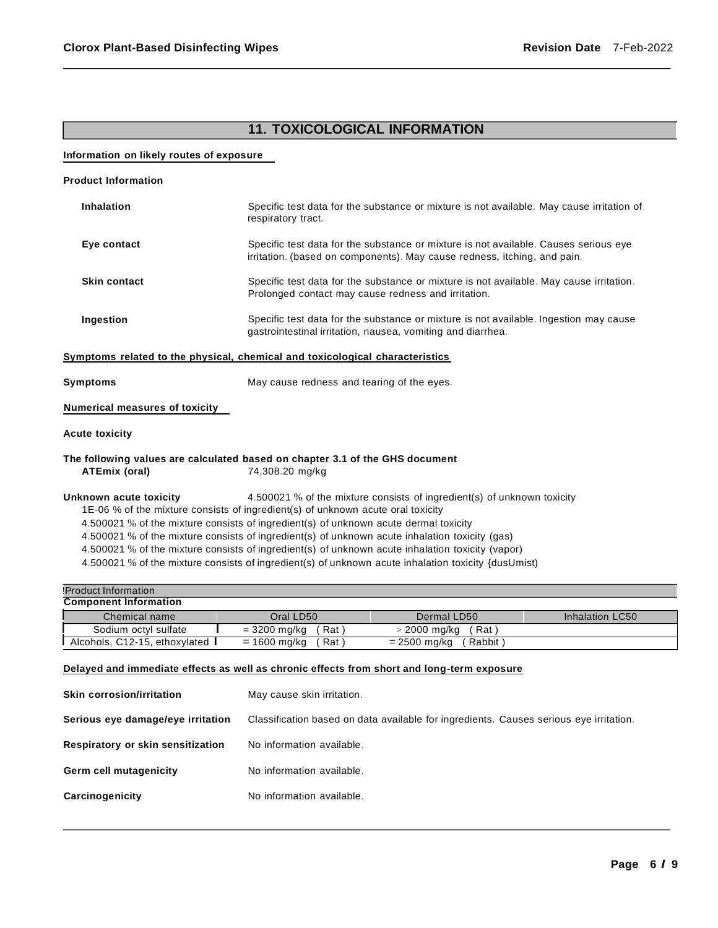# **11. TOXICOLOGICAL INFORMATION**

# **Information on likely routes of exposure**

| <b>Product Information</b>                                                                                                                                                                                                                                                                                                                                                                                                                                                                                                                                                                |                                                                                                                                                                  |                                                                                                                                                      |                        |  |  |
|-------------------------------------------------------------------------------------------------------------------------------------------------------------------------------------------------------------------------------------------------------------------------------------------------------------------------------------------------------------------------------------------------------------------------------------------------------------------------------------------------------------------------------------------------------------------------------------------|------------------------------------------------------------------------------------------------------------------------------------------------------------------|------------------------------------------------------------------------------------------------------------------------------------------------------|------------------------|--|--|
| <b>Inhalation</b>                                                                                                                                                                                                                                                                                                                                                                                                                                                                                                                                                                         | Specific test data for the substance or mixture is not available. May cause irritation of<br>respiratory tract.                                                  |                                                                                                                                                      |                        |  |  |
| Eye contact                                                                                                                                                                                                                                                                                                                                                                                                                                                                                                                                                                               | Specific test data for the substance or mixture is not available. Causes serious eye<br>irritation. (based on components). May cause redness, itching, and pain. |                                                                                                                                                      |                        |  |  |
| <b>Skin contact</b>                                                                                                                                                                                                                                                                                                                                                                                                                                                                                                                                                                       |                                                                                                                                                                  | Specific test data for the substance or mixture is not available. May cause irritation.<br>Prolonged contact may cause redness and irritation.       |                        |  |  |
| Ingestion                                                                                                                                                                                                                                                                                                                                                                                                                                                                                                                                                                                 |                                                                                                                                                                  | Specific test data for the substance or mixture is not available. Ingestion may cause<br>gastrointestinal irritation, nausea, vomiting and diarrhea. |                        |  |  |
| Symptoms related to the physical, chemical and toxicological characteristics                                                                                                                                                                                                                                                                                                                                                                                                                                                                                                              |                                                                                                                                                                  |                                                                                                                                                      |                        |  |  |
| Symptoms<br>May cause redness and tearing of the eyes.                                                                                                                                                                                                                                                                                                                                                                                                                                                                                                                                    |                                                                                                                                                                  |                                                                                                                                                      |                        |  |  |
| <b>Numerical measures of toxicity</b>                                                                                                                                                                                                                                                                                                                                                                                                                                                                                                                                                     |                                                                                                                                                                  |                                                                                                                                                      |                        |  |  |
| <b>Acute toxicity</b>                                                                                                                                                                                                                                                                                                                                                                                                                                                                                                                                                                     |                                                                                                                                                                  |                                                                                                                                                      |                        |  |  |
| The following values are calculated based on chapter 3.1 of the GHS document<br>ATEmix (oral)                                                                                                                                                                                                                                                                                                                                                                                                                                                                                             | 74,308.20 mg/kg                                                                                                                                                  |                                                                                                                                                      |                        |  |  |
| 4.500021 % of the mixture consists of ingredient(s) of unknown toxicity<br>Unknown acute toxicity<br>1E-06 % of the mixture consists of ingredient(s) of unknown acute oral toxicity<br>4.500021 % of the mixture consists of ingredient(s) of unknown acute dermal toxicity<br>4.500021 % of the mixture consists of ingredient(s) of unknown acute inhalation toxicity (gas)<br>4.500021 % of the mixture consists of ingredient(s) of unknown acute inhalation toxicity (vapor)<br>4.500021 % of the mixture consists of ingredient(s) of unknown acute inhalation toxicity {dusUmist) |                                                                                                                                                                  |                                                                                                                                                      |                        |  |  |
| <b>Product Information</b>                                                                                                                                                                                                                                                                                                                                                                                                                                                                                                                                                                |                                                                                                                                                                  |                                                                                                                                                      |                        |  |  |
| <b>Component Information</b>                                                                                                                                                                                                                                                                                                                                                                                                                                                                                                                                                              |                                                                                                                                                                  |                                                                                                                                                      |                        |  |  |
| Chemical name                                                                                                                                                                                                                                                                                                                                                                                                                                                                                                                                                                             | Oral LD50                                                                                                                                                        | Dermal LD50                                                                                                                                          | <b>Inhalation LC50</b> |  |  |
| Sodium octyl sulfate                                                                                                                                                                                                                                                                                                                                                                                                                                                                                                                                                                      | $= 3200$ mg/kg<br>(Rat)                                                                                                                                          | $>$ 2000 mg/kg<br>(Rat)                                                                                                                              |                        |  |  |
| Alcohols, C12-15, ethoxylated<br>$= 1600$ mg/kg<br>$= 2500$ mg/kg<br>(Rabbit)<br>(Rat)                                                                                                                                                                                                                                                                                                                                                                                                                                                                                                    |                                                                                                                                                                  |                                                                                                                                                      |                        |  |  |
| Delayed and immediate effects as well as chronic effects from short and long-term exposure                                                                                                                                                                                                                                                                                                                                                                                                                                                                                                |                                                                                                                                                                  |                                                                                                                                                      |                        |  |  |
| <b>Skin corrosion/irritation</b>                                                                                                                                                                                                                                                                                                                                                                                                                                                                                                                                                          | May cause skin irritation.                                                                                                                                       |                                                                                                                                                      |                        |  |  |
|                                                                                                                                                                                                                                                                                                                                                                                                                                                                                                                                                                                           | Serious eye damage/eye irritation<br>Classification based on data available for ingredients. Causes serious eye irritation.                                      |                                                                                                                                                      |                        |  |  |

- Germ cell mutagenicity **No information available.**
- **Carcinogenicity** No information available.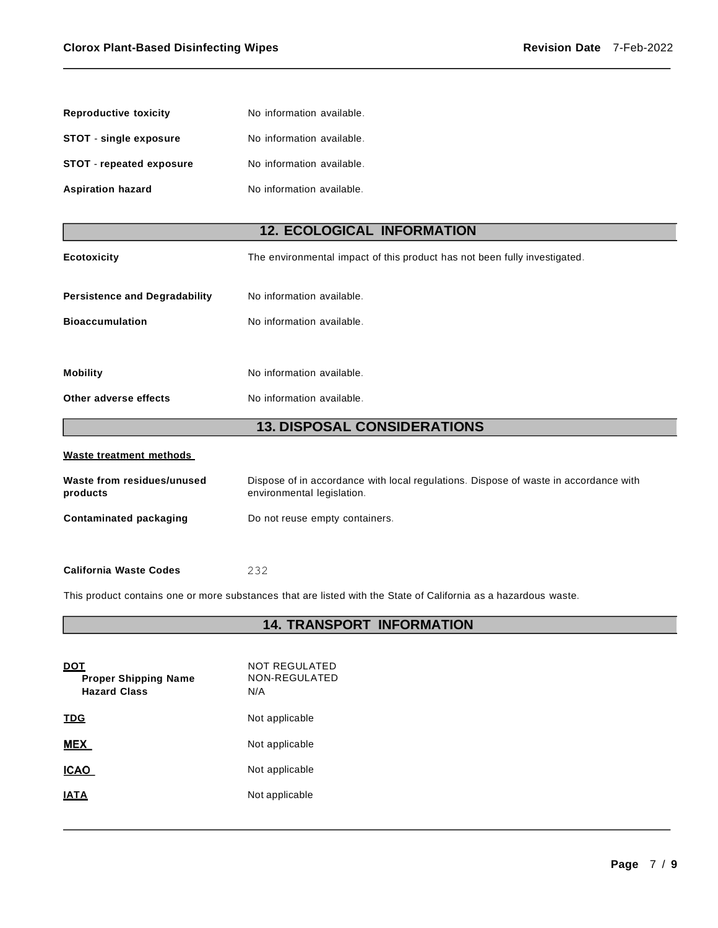| <b>Reproductive toxicity</b>           | No information available.                                                                                          |  |  |  |
|----------------------------------------|--------------------------------------------------------------------------------------------------------------------|--|--|--|
| STOT - single exposure                 | No information available.                                                                                          |  |  |  |
| STOT - repeated exposure               | No information available.                                                                                          |  |  |  |
| <b>Aspiration hazard</b>               | No information available.                                                                                          |  |  |  |
|                                        |                                                                                                                    |  |  |  |
|                                        | <b>12. ECOLOGICAL INFORMATION</b>                                                                                  |  |  |  |
| <b>Ecotoxicity</b>                     | The environmental impact of this product has not been fully investigated.                                          |  |  |  |
| <b>Persistence and Degradability</b>   | No information available.                                                                                          |  |  |  |
| <b>Bioaccumulation</b>                 | No information available.                                                                                          |  |  |  |
|                                        |                                                                                                                    |  |  |  |
| <b>Mobility</b>                        | No information available.                                                                                          |  |  |  |
| Other adverse effects                  | No information available.                                                                                          |  |  |  |
| <b>13. DISPOSAL CONSIDERATIONS</b>     |                                                                                                                    |  |  |  |
| Waste treatment methods                |                                                                                                                    |  |  |  |
| Waste from residues/unused<br>products | Dispose of in accordance with local regulations. Dispose of waste in accordance with<br>environmental legislation. |  |  |  |
| <b>Contaminated packaging</b>          | Do not reuse empty containers.                                                                                     |  |  |  |
|                                        |                                                                                                                    |  |  |  |

#### **California Waste Codes** 232

This product contains one or more substances that are listed with the State of California as a hazardous waste.

# **14. TRANSPORT INFORMATION**

| וטט<br><b>Proper Shipping Name</b><br><b>Hazard Class</b> | NOT REGULATED<br>NON-REGULATED<br>N/A |
|-----------------------------------------------------------|---------------------------------------|
| TDG                                                       | Not applicable                        |
| <b>MEX</b>                                                | Not applicable                        |
| ICAO                                                      | Not applicable                        |
| IATA                                                      | Not applicable                        |
|                                                           |                                       |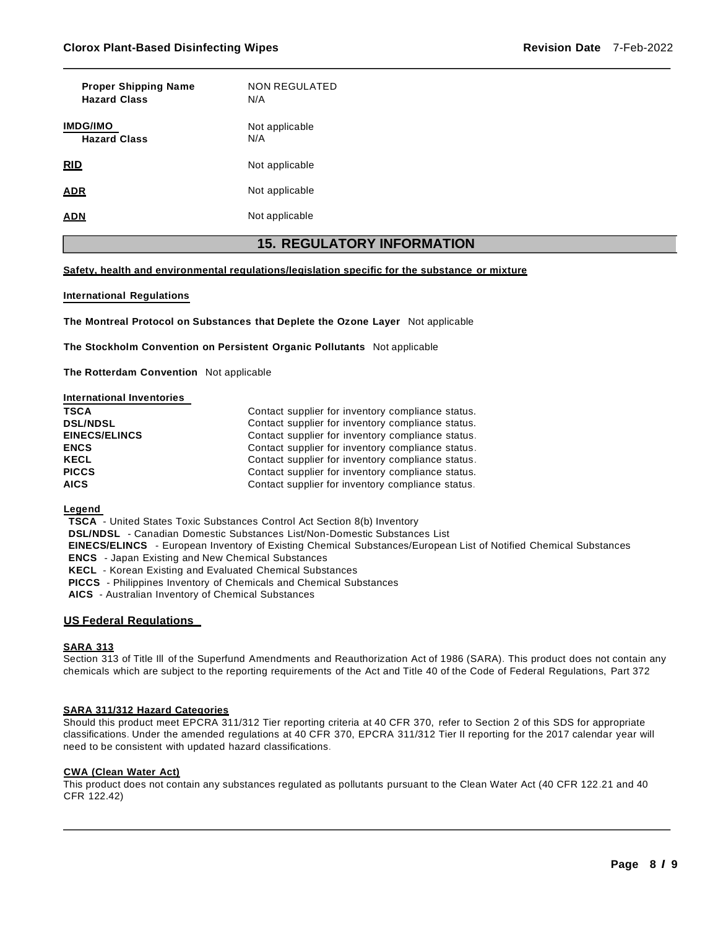| <b>Proper Shipping Name</b><br><b>Hazard Class</b> | <b>NON REGULATED</b><br>N/A |  |  |  |
|----------------------------------------------------|-----------------------------|--|--|--|
| <b>IMDG/IMO</b><br><b>Hazard Class</b>             | Not applicable<br>N/A       |  |  |  |
| <b>RID</b>                                         | Not applicable              |  |  |  |
| <b>ADR</b>                                         | Not applicable              |  |  |  |
| <b>ADN</b>                                         | Not applicable              |  |  |  |
|                                                    |                             |  |  |  |

# **15. REGULATORY INFORMATION**

#### **Safety, health and environmental regulations/legislation specific for the substance or mixture**

#### **International Regulations**

**The Montreal Protocol on Substances that Deplete the Ozone Layer** Not applicable

**The Stockholm Convention on Persistent Organic Pollutants** Not applicable

**The Rotterdam Convention** Not applicable

#### **International Inventories**

| <b>TSCA</b>          | Contact supplier for inventory compliance status. |
|----------------------|---------------------------------------------------|
| <b>DSL/NDSL</b>      | Contact supplier for inventory compliance status. |
| <b>EINECS/ELINCS</b> | Contact supplier for inventory compliance status. |
| <b>ENCS</b>          | Contact supplier for inventory compliance status. |
| KECL                 | Contact supplier for inventory compliance status. |
| <b>PICCS</b>         | Contact supplier for inventory compliance status. |
| <b>AICS</b>          | Contact supplier for inventory compliance status. |

#### **Legend**

**TSCA** - United States Toxic Substances Control Act Section 8(b) Inventory

**DSL/NDSL** - Canadian Domestic Substances List/Non-Domestic Substances List

**EINECS/ELINCS** - European Inventory of Existing Chemical Substances/European List of Notified Chemical Substances

**ENCS** - Japan Existing and New Chemical Substances

**KECL** - Korean Existing and Evaluated Chemical Substances

**PICCS** - Philippines Inventory of Chemicals and Chemical Substances

**AICS** - Australian Inventory of Chemical Substances

#### **US Federal Regulations**

#### **SARA 313**

Section 313 of Title Ill of the Superfund Amendments and Reauthorization Act of 1986 (SARA). This product does not contain any chemicals which are subject to the reporting requirements of the Act and Title 40 of the Code of Federal Regulations, Part 372

### **SARA 311/312 Hazard Categories**

Should this product meet EPCRA 311/312 Tier reporting criteria at 40 CFR 370, refer to Section 2 of this SDS for appropriate classifications. Under the amended regulations at 40 CFR 370, EPCRA 311/312 Tier II reporting for the 2017 calendar year will need to be consistent with updated hazard classifications.

#### **CWA (Clean Water Act)**

This product does not contain any substances regulated as pollutants pursuant to the Clean Water Act (40 CFR 122.21 and 40 CFR 122.42)